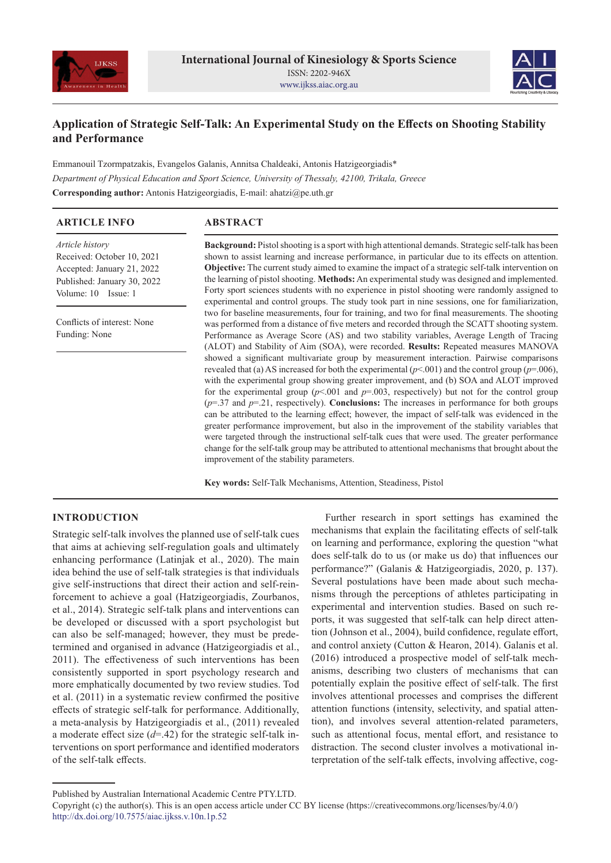



# **Application of Strategic Self-Talk: An Experimental Study on the Effects on Shooting Stability and Performance**

Emmanouil Tzormpatzakis, Evangelos Galanis, Annitsa Chaldeaki, Antonis Hatzigeorgiadis\* *Department of Physical Education and Sport Science, University of Thessaly, 42100, Trikala, Greece* **Corresponding author:** Antonis Hatzigeorgiadis, E-mail: ahatzi@pe.uth.gr

| <b>ARTICLE INFO</b>         | <b>ABSTRACT</b>                                                                                                                                                                                  |  |  |  |
|-----------------------------|--------------------------------------------------------------------------------------------------------------------------------------------------------------------------------------------------|--|--|--|
| <i>Article history</i>      | Background: Pistol shooting is a sport with high attentional demands. Strategic self-talk has been                                                                                               |  |  |  |
| Received: October 10, 2021  | shown to assist learning and increase performance, in particular due to its effects on attention.                                                                                                |  |  |  |
| Accepted: January 21, 2022  | <b>Objective:</b> The current study aimed to examine the impact of a strategic self-talk intervention on                                                                                         |  |  |  |
| Published: January 30, 2022 | the learning of pistol shooting. Methods: An experimental study was designed and implemented.                                                                                                    |  |  |  |
| Volume: 10 Issue: 1         | Forty sport sciences students with no experience in pistol shooting were randomly assigned to<br>experimental and control groups. The study took part in nine sessions, one for familiarization, |  |  |  |
|                             | two for baseline measurements, four for training, and two for final measurements. The shooting                                                                                                   |  |  |  |
| Conflicts of interest: None | was performed from a distance of five meters and recorded through the SCATT shooting system.                                                                                                     |  |  |  |
| Funding: None               | Performance as Average Score (AS) and two stability variables, Average Length of Tracing                                                                                                         |  |  |  |
|                             | (ALOT) and Stability of Aim (SOA), were recorded. Results: Repeated measures MANOVA                                                                                                              |  |  |  |
|                             | showed a significant multivariate group by measurement interaction. Pairwise comparisons                                                                                                         |  |  |  |
|                             | revealed that (a) AS increased for both the experimental $(p<0.01)$ and the control group $(p=0.06)$ ,                                                                                           |  |  |  |
|                             | with the experimental group showing greater improvement, and (b) SOA and ALOT improved                                                                                                           |  |  |  |
|                             | for the experimental group ( $p<0.001$ and $p=0.003$ , respectively) but not for the control group                                                                                               |  |  |  |
|                             | $(p=37 \text{ and } p=.21$ , respectively). <b>Conclusions:</b> The increases in performance for both groups                                                                                     |  |  |  |
|                             | can be attributed to the learning effect; however, the impact of self-talk was evidenced in the                                                                                                  |  |  |  |
|                             | greater performance improvement, but also in the improvement of the stability variables that                                                                                                     |  |  |  |
|                             | were targeted through the instructional self-talk cues that were used. The greater performance                                                                                                   |  |  |  |
|                             | change for the self-talk group may be attributed to attentional mechanisms that brought about the                                                                                                |  |  |  |
|                             | improvement of the stability parameters.                                                                                                                                                         |  |  |  |

**Key words:** Self-Talk Mechanisms, Attention, Steadiness, Pistol

## **INTRODUCTION**

Strategic self-talk involves the planned use of self-talk cues that aims at achieving self-regulation goals and ultimately enhancing performance (Latinjak et al., 2020). The main idea behind the use of self-talk strategies is that individuals give self-instructions that direct their action and self-reinforcement to achieve a goal (Hatzigeorgiadis, Zourbanos, et al., 2014). Strategic self-talk plans and interventions can be developed or discussed with a sport psychologist but can also be self-managed; however, they must be predetermined and organised in advance (Hatzigeorgiadis et al., 2011). The effectiveness of such interventions has been consistently supported in sport psychology research and more emphatically documented by two review studies. Tod et al. (2011) in a systematic review confirmed the positive effects of strategic self-talk for performance. Additionally, a meta-analysis by Hatzigeorgiadis et al., (2011) revealed a moderate effect size (*d*=.42) for the strategic self-talk interventions on sport performance and identified moderators of the self-talk effects.

Further research in sport settings has examined the mechanisms that explain the facilitating effects of self-talk on learning and performance, exploring the question "what does self-talk do to us (or make us do) that influences our performance?" (Galanis & Hatzigeorgiadis, 2020, p. 137). Several postulations have been made about such mechanisms through the perceptions of athletes participating in experimental and intervention studies. Based on such reports, it was suggested that self-talk can help direct attention (Johnson et al., 2004), build confidence, regulate effort, and control anxiety (Cutton & Hearon, 2014). Galanis et al. (2016) introduced a prospective model of self-talk mechanisms, describing two clusters of mechanisms that can potentially explain the positive effect of self-talk. The first involves attentional processes and comprises the different attention functions (intensity, selectivity, and spatial attention), and involves several attention-related parameters, such as attentional focus, mental effort, and resistance to distraction. The second cluster involves a motivational interpretation of the self-talk effects, involving affective, cog-

Published by Australian International Academic Centre PTY.LTD.

Copyright (c) the author(s). This is an open access article under CC BY license (https://creativecommons.org/licenses/by/4.0/) http://dx.doi.org/10.7575/aiac.ijkss.v.10n.1p.52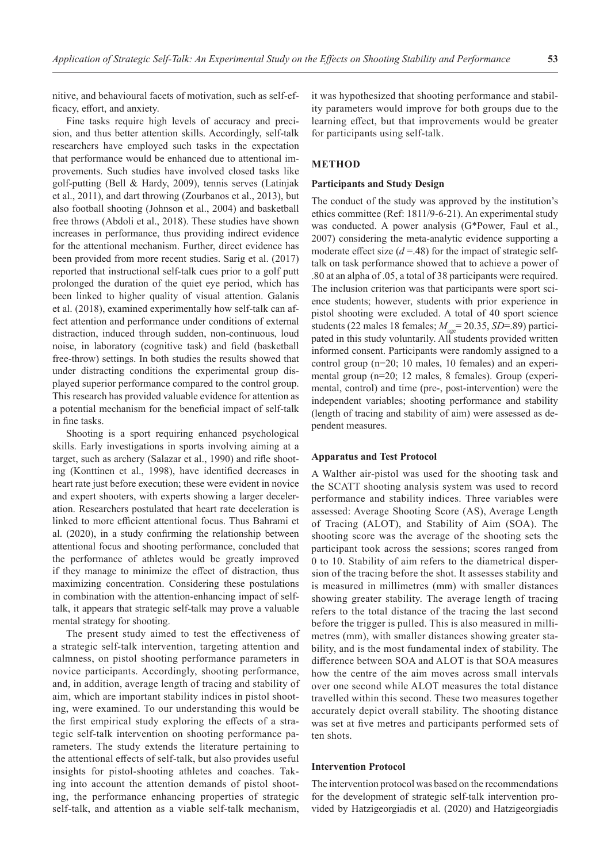nitive, and behavioural facets of motivation, such as self-efficacy, effort, and anxiety.

Fine tasks require high levels of accuracy and precision, and thus better attention skills. Accordingly, self-talk researchers have employed such tasks in the expectation that performance would be enhanced due to attentional improvements. Such studies have involved closed tasks like golf-putting (Bell & Hardy, 2009), tennis serves (Latinjak et al., 2011), and dart throwing (Zourbanos et al., 2013), but also football shooting (Johnson et al., 2004) and basketball free throws (Abdoli et al., 2018). These studies have shown increases in performance, thus providing indirect evidence for the attentional mechanism. Further, direct evidence has been provided from more recent studies. Sarig et al. (2017) reported that instructional self-talk cues prior to a golf putt prolonged the duration of the quiet eye period, which has been linked to higher quality of visual attention. Galanis et al. (2018), examined experimentally how self-talk can affect attention and performance under conditions of external distraction, induced through sudden, non-continuous, loud noise, in laboratory (cognitive task) and field (basketball free-throw) settings. In both studies the results showed that under distracting conditions the experimental group displayed superior performance compared to the control group. This research has provided valuable evidence for attention as a potential mechanism for the beneficial impact of self-talk in fine tasks.

Shooting is a sport requiring enhanced psychological skills. Early investigations in sports involving aiming at a target, such as archery (Salazar et al., 1990) and rifle shooting (Konttinen et al., 1998), have identified decreases in heart rate just before execution; these were evident in novice and expert shooters, with experts showing a larger deceleration. Researchers postulated that heart rate deceleration is linked to more efficient attentional focus. Thus Bahrami et al. (2020), in a study confirming the relationship between attentional focus and shooting performance, concluded that the performance of athletes would be greatly improved if they manage to minimize the effect of distraction, thus maximizing concentration. Considering these postulations in combination with the attention-enhancing impact of selftalk, it appears that strategic self-talk may prove a valuable mental strategy for shooting.

The present study aimed to test the effectiveness of a strategic self-talk intervention, targeting attention and calmness, on pistol shooting performance parameters in novice participants. Accordingly, shooting performance, and, in addition, average length of tracing and stability of aim, which are important stability indices in pistol shooting, were examined. To our understanding this would be the first empirical study exploring the effects of a strategic self-talk intervention on shooting performance parameters. The study extends the literature pertaining to the attentional effects of self-talk, but also provides useful insights for pistol-shooting athletes and coaches. Taking into account the attention demands of pistol shooting, the performance enhancing properties of strategic self-talk, and attention as a viable self-talk mechanism,

it was hypothesized that shooting performance and stability parameters would improve for both groups due to the learning effect, but that improvements would be greater for participants using self-talk.

## **METHOD**

## **Participants and Study Design**

The conduct of the study was approved by the institution's ethics committee (Ref: 1811/9-6-21). An experimental study was conducted. A power analysis (G\*Power, Faul et al., 2007) considering the meta-analytic evidence supporting a moderate effect size  $(d = .48)$  for the impact of strategic selftalk on task performance showed that to achieve a power of .80 at an alpha of .05, a total of 38 participants were required. The inclusion criterion was that participants were sport science students; however, students with prior experience in pistol shooting were excluded. A total of 40 sport science students (22 males 18 females;  $M_{\text{age}} = 20.35$ , *SD*=.89) participated in this study voluntarily. All students provided written informed consent. Participants were randomly assigned to a control group (n=20; 10 males, 10 females) and an experimental group (n=20; 12 males, 8 females). Group (experimental, control) and time (pre-, post-intervention) were the independent variables; shooting performance and stability (length of tracing and stability of aim) were assessed as dependent measures.

#### **Apparatus and Test Protocol**

A Walther air-pistol was used for the shooting task and the SCATT shooting analysis system was used to record performance and stability indices. Three variables were assessed: Average Shooting Score (AS), Average Length of Tracing (ALOT), and Stability of Aim (SOA). The shooting score was the average of the shooting sets the participant took across the sessions; scores ranged from 0 to 10. Stability of aim refers to the diametrical dispersion of the tracing before the shot. It assesses stability and is measured in millimetres (mm) with smaller distances showing greater stability. The average length of tracing refers to the total distance of the tracing the last second before the trigger is pulled. This is also measured in millimetres (mm), with smaller distances showing greater stability, and is the most fundamental index of stability. The difference between SOA and ALOT is that SOA measures how the centre of the aim moves across small intervals over one second while ALOT measures the total distance travelled within this second. These two measures together accurately depict overall stability. The shooting distance was set at five metres and participants performed sets of ten shots.

#### **Intervention Protocol**

The intervention protocol was based on the recommendations for the development of strategic self-talk intervention provided by Hatzigeorgiadis et al. (2020) and Hatzigeorgiadis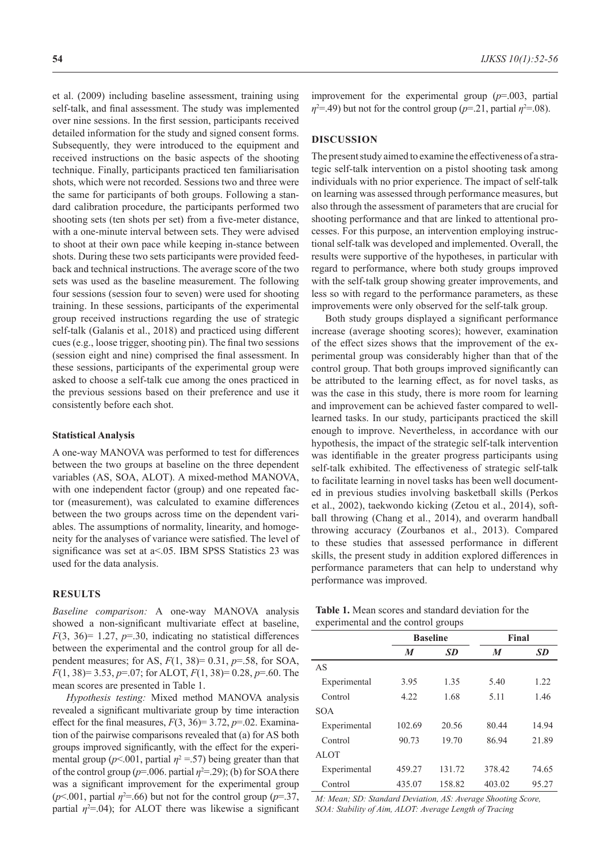et al. (2009) including baseline assessment, training using self-talk, and final assessment. The study was implemented over nine sessions. In the first session, participants received detailed information for the study and signed consent forms. Subsequently, they were introduced to the equipment and received instructions on the basic aspects of the shooting technique. Finally, participants practiced ten familiarisation shots, which were not recorded. Sessions two and three were the same for participants of both groups. Following a standard calibration procedure, the participants performed two shooting sets (ten shots per set) from a five-meter distance, with a one-minute interval between sets. They were advised to shoot at their own pace while keeping in-stance between shots. During these two sets participants were provided feedback and technical instructions. The average score of the two sets was used as the baseline measurement. The following four sessions (session four to seven) were used for shooting training. In these sessions, participants of the experimental group received instructions regarding the use of strategic self-talk (Galanis et al., 2018) and practiced using different cues (e.g., loose trigger, shooting pin). The final two sessions (session eight and nine) comprised the final assessment. In these sessions, participants of the experimental group were asked to choose a self-talk cue among the ones practiced in the previous sessions based on their preference and use it consistently before each shot.

#### **Statistical Analysis**

A one-way MANOVA was performed to test for differences between the two groups at baseline on the three dependent variables (AS, SOA, ALOT). A mixed-method MANOVA, with one independent factor (group) and one repeated factor (measurement), was calculated to examine differences between the two groups across time on the dependent variables. The assumptions of normality, linearity, and homogeneity for the analyses of variance were satisfied. The level of significance was set at a<.05. IBM SPSS Statistics 23 was used for the data analysis.

#### **RESULTS**

*Baseline comparison:* A one-way MANOVA analysis showed a non-significant multivariate effect at baseline,  $F(3, 36)=1.27$ ,  $p=.30$ , indicating no statistical differences between the experimental and the control group for all dependent measures; for AS, *F*(1, 38)= 0.31, *p*=.58, for SOA, *F*(1, 38)= 3.53, *p*=.07; for ALOT, *F*(1, 38)= 0.28, *p*=.60. The mean scores are presented in Table 1.

*Hypothesis testing:* Mixed method MANOVA analysis revealed a significant multivariate group by time interaction effect for the final measures,  $F(3, 36)=3.72$ ,  $p=.02$ . Examination of the pairwise comparisons revealed that (a) for AS both groups improved significantly, with the effect for the experimental group ( $p$ <.001, partial  $\eta$ <sup>2</sup> = .57) being greater than that of the control group ( $p=0.006$ . partial  $\eta^2 = 0.29$ ); (b) for SOA there was a significant improvement for the experimental group  $(p<.001$ , partial  $\eta^2 = .66$ ) but not for the control group ( $p = .37$ , partial  $\eta^2 = 0.04$ ); for ALOT there was likewise a significant improvement for the experimental group (*p*=.003, partial  $\eta^2 =$  49) but not for the control group (*p*=.21, partial  $\eta^2 = .08$ ).

## **DISCUSSION**

The present study aimed to examine the effectiveness of a strategic self-talk intervention on a pistol shooting task among individuals with no prior experience. The impact of self-talk on learning was assessed through performance measures, but also through the assessment of parameters that are crucial for shooting performance and that are linked to attentional processes. For this purpose, an intervention employing instructional self-talk was developed and implemented. Overall, the results were supportive of the hypotheses, in particular with regard to performance, where both study groups improved with the self-talk group showing greater improvements, and less so with regard to the performance parameters, as these improvements were only observed for the self-talk group.

Both study groups displayed a significant performance increase (average shooting scores); however, examination of the effect sizes shows that the improvement of the experimental group was considerably higher than that of the control group. That both groups improved significantly can be attributed to the learning effect, as for novel tasks, as was the case in this study, there is more room for learning and improvement can be achieved faster compared to welllearned tasks. In our study, participants practiced the skill enough to improve. Nevertheless, in accordance with our hypothesis, the impact of the strategic self-talk intervention was identifiable in the greater progress participants using self-talk exhibited. The effectiveness of strategic self-talk to facilitate learning in novel tasks has been well documented in previous studies involving basketball skills (Perkos et al., 2002), taekwondo kicking (Zetou et al., 2014), softball throwing (Chang et al., 2014), and overarm handball throwing accuracy (Zourbanos et al., 2013). Compared to these studies that assessed performance in different skills, the present study in addition explored differences in performance parameters that can help to understand why performance was improved.

| <b>Table 1.</b> Mean scores and standard deviation for the |
|------------------------------------------------------------|
| experimental and the control groups                        |

|              | <b>Baseline</b> |           | Final  |           |
|--------------|-----------------|-----------|--------|-----------|
|              | M               | <b>SD</b> | M      | <b>SD</b> |
| AS           |                 |           |        |           |
| Experimental | 3.95            | 1.35      | 5.40   | 1.22      |
| Control      | 4.22            | 1.68      | 5.11   | 1.46      |
| <b>SOA</b>   |                 |           |        |           |
| Experimental | 102.69          | 20.56     | 80.44  | 14.94     |
| Control      | 90.73           | 19.70     | 86.94  | 21.89     |
| <b>ALOT</b>  |                 |           |        |           |
| Experimental | 459.27          | 131.72    | 378.42 | 74.65     |
| Control      | 435.07          | 158.82    | 403.02 | 95.27     |

*M: Mean; SD: Standard Deviation, AS: Average Shooting Score, SOA: Stability of Aim, ALOT: Average Length of Tracing*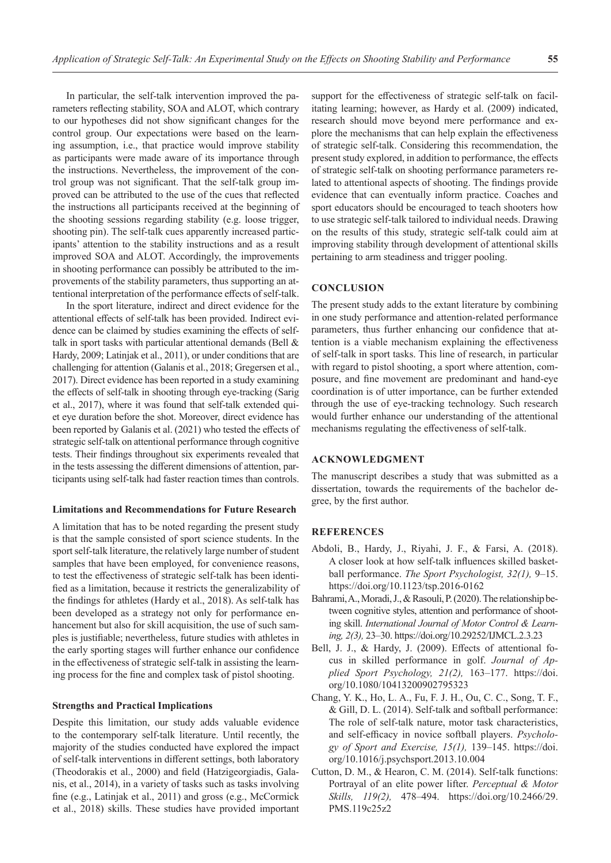In particular, the self-talk intervention improved the parameters reflecting stability, SOA and ALOT, which contrary to our hypotheses did not show significant changes for the control group. Our expectations were based on the learning assumption, i.e., that practice would improve stability as participants were made aware of its importance through the instructions. Nevertheless, the improvement of the control group was not significant. That the self-talk group improved can be attributed to the use of the cues that reflected the instructions all participants received at the beginning of the shooting sessions regarding stability (e.g. loose trigger, shooting pin). The self-talk cues apparently increased participants' attention to the stability instructions and as a result improved SOA and ALOT. Accordingly, the improvements in shooting performance can possibly be attributed to the improvements of the stability parameters, thus supporting an attentional interpretation of the performance effects of self-talk.

In the sport literature, indirect and direct evidence for the attentional effects of self-talk has been provided. Indirect evidence can be claimed by studies examining the effects of selftalk in sport tasks with particular attentional demands (Bell & Hardy, 2009; Latinjak et al., 2011), or under conditions that are challenging for attention (Galanis et al., 2018; Gregersen et al., 2017). Direct evidence has been reported in a study examining the effects of self-talk in shooting through eye-tracking (Sarig et al., 2017), where it was found that self-talk extended quiet eye duration before the shot. Moreover, direct evidence has been reported by Galanis et al. (2021) who tested the effects of strategic self-talk on attentional performance through cognitive tests. Their findings throughout six experiments revealed that in the tests assessing the different dimensions of attention, participants using self-talk had faster reaction times than controls.

## **Limitations and Recommendations for Future Research**

A limitation that has to be noted regarding the present study is that the sample consisted of sport science students. In the sport self-talk literature, the relatively large number of student samples that have been employed, for convenience reasons, to test the effectiveness of strategic self-talk has been identified as a limitation, because it restricts the generalizability of the findings for athletes (Hardy et al., 2018). As self-talk has been developed as a strategy not only for performance enhancement but also for skill acquisition, the use of such samples is justifiable; nevertheless, future studies with athletes in the early sporting stages will further enhance our confidence in the effectiveness of strategic self-talk in assisting the learning process for the fine and complex task of pistol shooting.

## **Strengths and Practical Implications**

Despite this limitation, our study adds valuable evidence to the contemporary self-talk literature. Until recently, the majority of the studies conducted have explored the impact of self-talk interventions in different settings, both laboratory (Theodorakis et al., 2000) and field (Hatzigeorgiadis, Galanis, et al., 2014), in a variety of tasks such as tasks involving fine (e.g., Latinjak et al., 2011) and gross (e.g., McCormick et al., 2018) skills. These studies have provided important

support for the effectiveness of strategic self-talk on facilitating learning; however, as Hardy et al. (2009) indicated, research should move beyond mere performance and explore the mechanisms that can help explain the effectiveness of strategic self-talk. Considering this recommendation, the present study explored, in addition to performance, the effects of strategic self-talk on shooting performance parameters related to attentional aspects of shooting. The findings provide evidence that can eventually inform practice. Coaches and sport educators should be encouraged to teach shooters how to use strategic self-talk tailored to individual needs. Drawing on the results of this study, strategic self-talk could aim at improving stability through development of attentional skills pertaining to arm steadiness and trigger pooling.

## **CONCLUSION**

The present study adds to the extant literature by combining in one study performance and attention-related performance parameters, thus further enhancing our confidence that attention is a viable mechanism explaining the effectiveness of self-talk in sport tasks. This line of research, in particular with regard to pistol shooting, a sport where attention, composure, and fine movement are predominant and hand-eye coordination is of utter importance, can be further extended through the use of eye-tracking technology. Such research would further enhance our understanding of the attentional mechanisms regulating the effectiveness of self-talk.

## **ACKNOWLEDGMENT**

The manuscript describes a study that was submitted as a dissertation, towards the requirements of the bachelor degree, by the first author.

## **REFERENCES**

- Abdoli, B., Hardy, J., Riyahi, J. F., & Farsi, A. (2018). A closer look at how self-talk influences skilled basketball performance. *The Sport Psychologist, 32(1),* 9–15. https://doi.org/10.1123/tsp.2016-0162
- Bahrami, A., Moradi, J., & Rasouli, P. (2020). The relationship between cognitive styles, attention and performance of shooting skill. *International Journal of Motor Control & Learning, 2(3),* 23–30. https://doi.org/10.29252/IJMCL.2.3.23
- Bell, J. J., & Hardy, J. (2009). Effects of attentional focus in skilled performance in golf. *Journal of Applied Sport Psychology, 21(2),* 163–177. https://doi. org/10.1080/10413200902795323
- Chang, Y. K., Ho, L. A., Fu, F. J. H., Ou, C. C., Song, T. F., & Gill, D. L. (2014). Self-talk and softball performance: The role of self-talk nature, motor task characteristics, and self-efficacy in novice softball players. *Psychology of Sport and Exercise, 15(1),* 139–145. https://doi. org/10.1016/j.psychsport.2013.10.004
- Cutton, D. M., & Hearon, C. M. (2014). Self-talk functions: Portrayal of an elite power lifter. *Perceptual & Motor Skills, 119(2),* 478–494. https://doi.org/10.2466/29. PMS.119c25z2